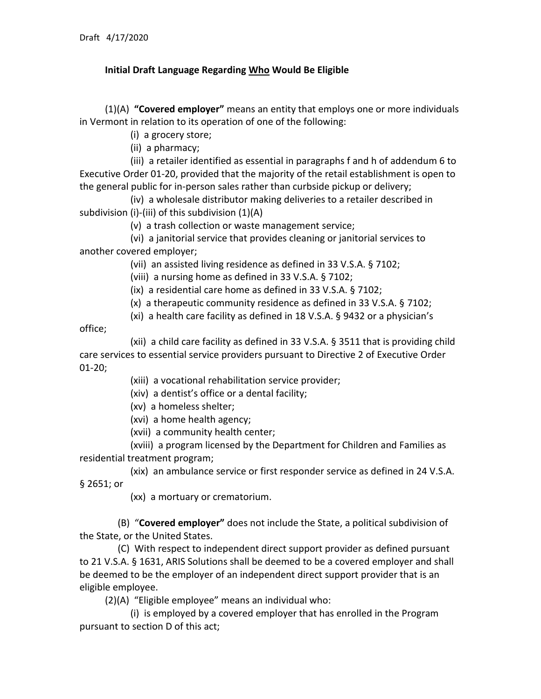## **Initial Draft Language Regarding Who Would Be Eligible**

(1)(A) **"Covered employer"** means an entity that employs one or more individuals in Vermont in relation to its operation of one of the following:

(i) a grocery store;

(ii) a pharmacy;

(iii) a retailer identified as essential in paragraphs f and h of addendum 6 to Executive Order 01-20, provided that the majority of the retail establishment is open to the general public for in-person sales rather than curbside pickup or delivery;

(iv) a wholesale distributor making deliveries to a retailer described in subdivision (i)-(iii) of this subdivision (1)(A)

(v) a trash collection or waste management service;

(vi) a janitorial service that provides cleaning or janitorial services to another covered employer;

(vii) an assisted living residence as defined in 33 V.S.A. § 7102;

(viii) a nursing home as defined in 33 V.S.A. § 7102;

(ix) a residential care home as defined in 33 V.S.A. § 7102;

(x) a therapeutic community residence as defined in 33 V.S.A. § 7102;

(xi) a health care facility as defined in 18 V.S.A. § 9432 or a physician's

office;

(xii) a child care facility as defined in 33 V.S.A. § 3511 that is providing child care services to essential service providers pursuant to Directive 2 of Executive Order 01-20;

(xiii) a vocational rehabilitation service provider;

(xiv) a dentist's office or a dental facility;

(xv) a homeless shelter;

(xvi) a home health agency;

(xvii) a community health center;

(xviii) a program licensed by the Department for Children and Families as residential treatment program;

(xix) an ambulance service or first responder service as defined in 24 V.S.A. § 2651; or

(xx) a mortuary or crematorium.

(B) "**Covered employer"** does not include the State, a political subdivision of the State, or the United States.

(C) With respect to independent direct support provider as defined pursuant to 21 V.S.A. § 1631, ARIS Solutions shall be deemed to be a covered employer and shall be deemed to be the employer of an independent direct support provider that is an eligible employee.

(2)(A) "Eligible employee" means an individual who:

(i) is employed by a covered employer that has enrolled in the Program pursuant to section D of this act;